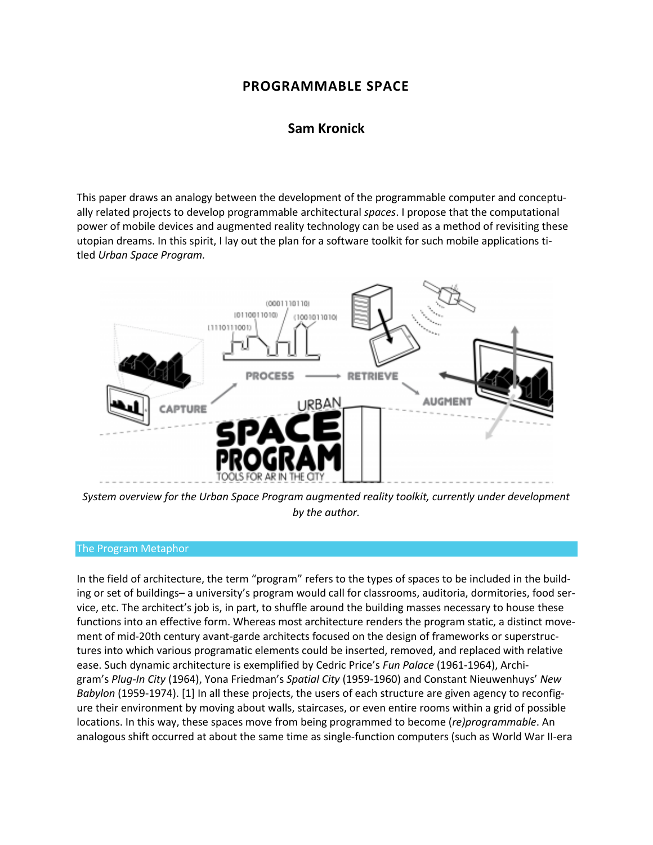# **PROGRAMMABLE SPACE**

# **[Sam Kronick](http://isea2011.sabanciuniv.edu/-546.html)**

This paper draws an analogy between the development of the programmable computer and conceptually related projects to develop programmable architectural *spaces*. I propose that the computational power of mobile devices and augmented reality technology can be used as a method of revisiting these utopian dreams. In this spirit, I lay out the plan for a software toolkit for such mobile applications titled *Urban Space Program.*



*System overview for the Urban Space Program augmented reality toolkit, currently under development by the author.*

### The Program Metaphor

In the field of architecture, the term "program" refers to the types of spaces to be included in the building or set of buildings– a university's program would call for classrooms, auditoria, dormitories, food service, etc. The architect's job is, in part, to shuffle around the building masses necessary to house these functions into an effective form. Whereas most architecture renders the program static, a distinct movement of mid-20th century avant-garde architects focused on the design of frameworks or superstructures into which various programatic elements could be inserted, removed, and replaced with relative ease. Such dynamic architecture is exemplified by Cedric Price's *Fun Palace* (1961-1964), Archigram's *Plug-In City* (1964), Yona Friedman's *Spatial City* (1959-1960) and Constant Nieuwenhuys' *New Babylon* (1959-1974). [1] In all these projects, the users of each structure are given agency to reconfigure their environment by moving about walls, staircases, or even entire rooms within a grid of possible locations. In this way, these spaces move from being programmed to become (*re)programmable*. An analogous shift occurred at about the same time as single-function computers (such as World War II-era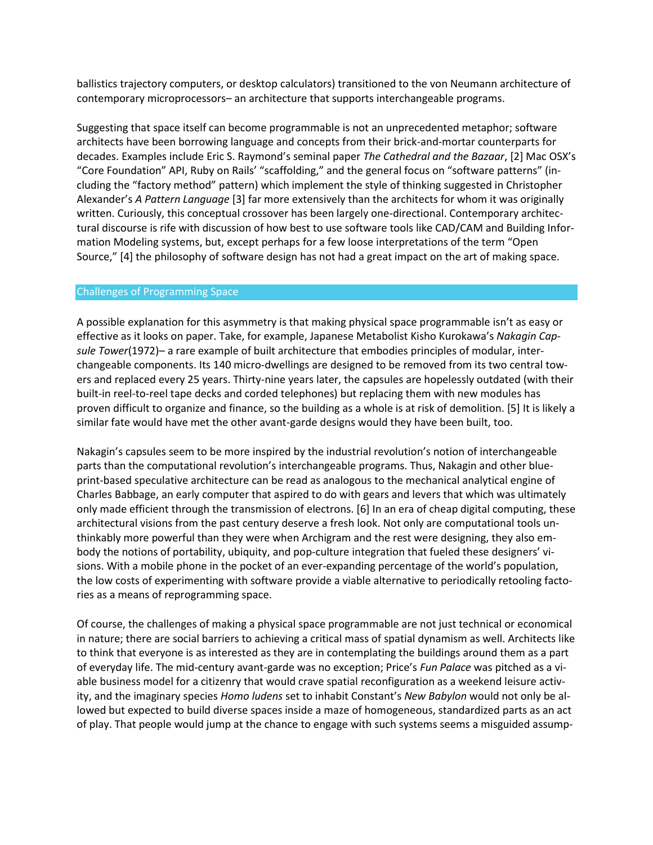ballistics trajectory computers, or desktop calculators) transitioned to the von Neumann architecture of contemporary microprocessors– an architecture that supports interchangeable programs.

Suggesting that space itself can become programmable is not an unprecedented metaphor; software architects have been borrowing language and concepts from their brick-and-mortar counterparts for decades. Examples include Eric S. Raymond's seminal paper *The Cathedral and the Bazaar*, [2] Mac OSX's "Core Foundation" API, Ruby on Rails' "scaffolding," and the general focus on "software patterns" (including the "factory method" pattern) which implement the style of thinking suggested in Christopher Alexander's *A Pattern Language* [3] far more extensively than the architects for whom it was originally written. Curiously, this conceptual crossover has been largely one-directional. Contemporary architectural discourse is rife with discussion of how best to use software tools like CAD/CAM and Building Information Modeling systems, but, except perhaps for a few loose interpretations of the term "Open Source," [4] the philosophy of software design has not had a great impact on the art of making space.

## Challenges of Programming Space

A possible explanation for this asymmetry is that making physical space programmable isn't as easy or effective as it looks on paper. Take, for example, Japanese Metabolist Kisho Kurokawa's *Nakagin Capsule Tower*(1972)– a rare example of built architecture that embodies principles of modular, interchangeable components. Its 140 micro-dwellings are designed to be removed from its two central towers and replaced every 25 years. Thirty-nine years later, the capsules are hopelessly outdated (with their built-in reel-to-reel tape decks and corded telephones) but replacing them with new modules has proven difficult to organize and finance, so the building as a whole is at risk of demolition. [5] It is likely a similar fate would have met the other avant-garde designs would they have been built, too.

Nakagin's capsules seem to be more inspired by the industrial revolution's notion of interchangeable parts than the computational revolution's interchangeable programs. Thus, Nakagin and other blueprint-based speculative architecture can be read as analogous to the mechanical analytical engine of Charles Babbage, an early computer that aspired to do with gears and levers that which was ultimately only made efficient through the transmission of electrons. [6] In an era of cheap digital computing, these architectural visions from the past century deserve a fresh look. Not only are computational tools unthinkably more powerful than they were when Archigram and the rest were designing, they also embody the notions of portability, ubiquity, and pop-culture integration that fueled these designers' visions. With a mobile phone in the pocket of an ever-expanding percentage of the world's population, the low costs of experimenting with software provide a viable alternative to periodically retooling factories as a means of reprogramming space.

Of course, the challenges of making a physical space programmable are not just technical or economical in nature; there are social barriers to achieving a critical mass of spatial dynamism as well. Architects like to think that everyone is as interested as they are in contemplating the buildings around them as a part of everyday life. The mid-century avant-garde was no exception; Price's *Fun Palace* was pitched as a viable business model for a citizenry that would crave spatial reconfiguration as a weekend leisure activity, and the imaginary species *Homo ludens* set to inhabit Constant's *New Babylon* would not only be allowed but expected to build diverse spaces inside a maze of homogeneous, standardized parts as an act of play. That people would jump at the chance to engage with such systems seems a misguided assump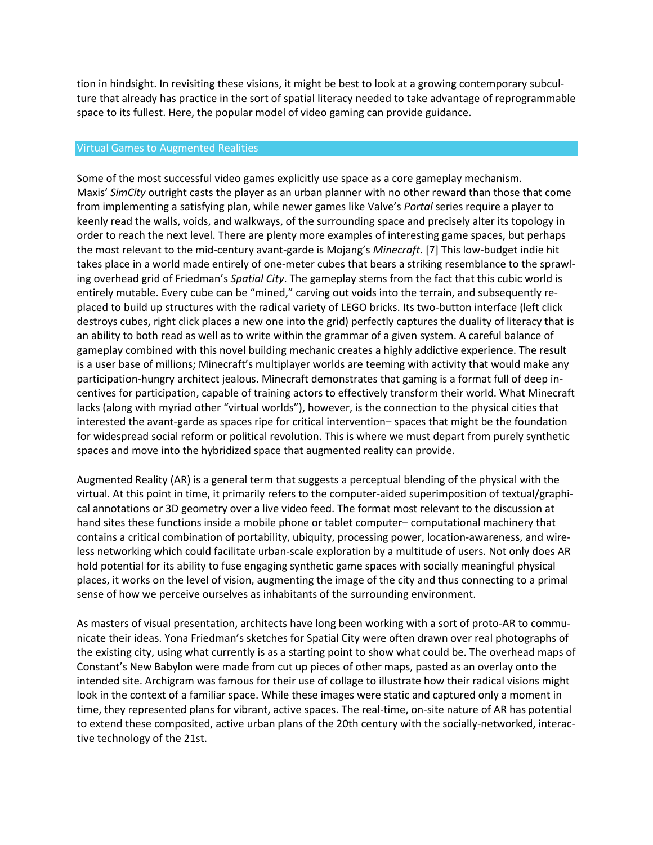tion in hindsight. In revisiting these visions, it might be best to look at a growing contemporary subculture that already has practice in the sort of spatial literacy needed to take advantage of reprogrammable space to its fullest. Here, the popular model of video gaming can provide guidance.

### Virtual Games to Augmented Realities

Some of the most successful video games explicitly use space as a core gameplay mechanism. Maxis' *SimCity* outright casts the player as an urban planner with no other reward than those that come from implementing a satisfying plan, while newer games like Valve's *Portal* series require a player to keenly read the walls, voids, and walkways, of the surrounding space and precisely alter its topology in order to reach the next level. There are plenty more examples of interesting game spaces, but perhaps the most relevant to the mid-century avant-garde is Mojang's *Minecraft*. [7] This low-budget indie hit takes place in a world made entirely of one-meter cubes that bears a striking resemblance to the sprawling overhead grid of Friedman's *Spatial City*. The gameplay stems from the fact that this cubic world is entirely mutable. Every cube can be "mined," carving out voids into the terrain, and subsequently replaced to build up structures with the radical variety of LEGO bricks. Its two-button interface (left click destroys cubes, right click places a new one into the grid) perfectly captures the duality of literacy that is an ability to both read as well as to write within the grammar of a given system. A careful balance of gameplay combined with this novel building mechanic creates a highly addictive experience. The result is a user base of millions; Minecraft's multiplayer worlds are teeming with activity that would make any participation-hungry architect jealous. Minecraft demonstrates that gaming is a format full of deep incentives for participation, capable of training actors to effectively transform their world. What Minecraft lacks (along with myriad other "virtual worlds"), however, is the connection to the physical cities that interested the avant-garde as spaces ripe for critical intervention– spaces that might be the foundation for widespread social reform or political revolution. This is where we must depart from purely synthetic spaces and move into the hybridized space that augmented reality can provide.

Augmented Reality (AR) is a general term that suggests a perceptual blending of the physical with the virtual. At this point in time, it primarily refers to the computer-aided superimposition of textual/graphical annotations or 3D geometry over a live video feed. The format most relevant to the discussion at hand sites these functions inside a mobile phone or tablet computer– computational machinery that contains a critical combination of portability, ubiquity, processing power, location-awareness, and wireless networking which could facilitate urban-scale exploration by a multitude of users. Not only does AR hold potential for its ability to fuse engaging synthetic game spaces with socially meaningful physical places, it works on the level of vision, augmenting the image of the city and thus connecting to a primal sense of how we perceive ourselves as inhabitants of the surrounding environment.

As masters of visual presentation, architects have long been working with a sort of proto-AR to communicate their ideas. Yona Friedman's sketches for Spatial City were often drawn over real photographs of the existing city, using what currently is as a starting point to show what could be. The overhead maps of Constant's New Babylon were made from cut up pieces of other maps, pasted as an overlay onto the intended site. Archigram was famous for their use of collage to illustrate how their radical visions might look in the context of a familiar space. While these images were static and captured only a moment in time, they represented plans for vibrant, active spaces. The real-time, on-site nature of AR has potential to extend these composited, active urban plans of the 20th century with the socially-networked, interactive technology of the 21st.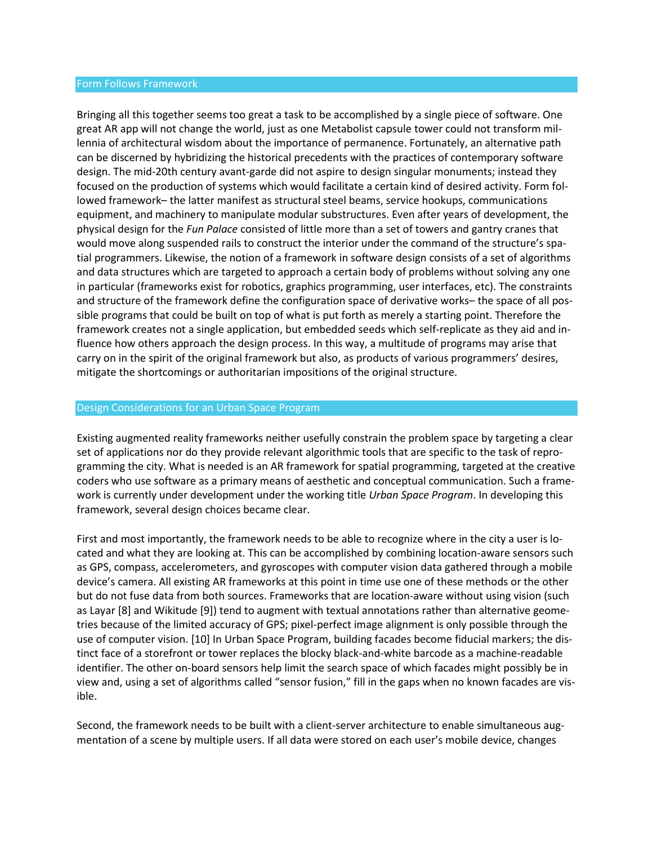#### Form Follows Framework

Bringing all this together seems too great a task to be accomplished by a single piece of software. One great AR app will not change the world, just as one Metabolist capsule tower could not transform millennia of architectural wisdom about the importance of permanence. Fortunately, an alternative path can be discerned by hybridizing the historical precedents with the practices of contemporary software design. The mid-20th century avant-garde did not aspire to design singular monuments; instead they focused on the production of systems which would facilitate a certain kind of desired activity. Form followed framework– the latter manifest as structural steel beams, service hookups, communications equipment, and machinery to manipulate modular substructures. Even after years of development, the physical design for the *Fun Palace* consisted of little more than a set of towers and gantry cranes that would move along suspended rails to construct the interior under the command of the structure's spatial programmers. Likewise, the notion of a framework in software design consists of a set of algorithms and data structures which are targeted to approach a certain body of problems without solving any one in particular (frameworks exist for robotics, graphics programming, user interfaces, etc). The constraints and structure of the framework define the configuration space of derivative works– the space of all possible programs that could be built on top of what is put forth as merely a starting point. Therefore the framework creates not a single application, but embedded seeds which self-replicate as they aid and influence how others approach the design process. In this way, a multitude of programs may arise that carry on in the spirit of the original framework but also, as products of various programmers' desires, mitigate the shortcomings or authoritarian impositions of the original structure.

#### Design Considerations for an Urban Space Program

Existing augmented reality frameworks neither usefully constrain the problem space by targeting a clear set of applications nor do they provide relevant algorithmic tools that are specific to the task of reprogramming the city. What is needed is an AR framework for spatial programming, targeted at the creative coders who use software as a primary means of aesthetic and conceptual communication. Such a framework is currently under development under the working title *Urban Space Program*. In developing this framework, several design choices became clear.

First and most importantly, the framework needs to be able to recognize where in the city a user is located and what they are looking at. This can be accomplished by combining location-aware sensors such as GPS, compass, accelerometers, and gyroscopes with computer vision data gathered through a mobile device's camera. All existing AR frameworks at this point in time use one of these methods or the other but do not fuse data from both sources. Frameworks that are location-aware without using vision (such as Layar [8] and Wikitude [9]) tend to augment with textual annotations rather than alternative geometries because of the limited accuracy of GPS; pixel-perfect image alignment is only possible through the use of computer vision. [10] In Urban Space Program, building facades become fiducial markers; the distinct face of a storefront or tower replaces the blocky black-and-white barcode as a machine-readable identifier. The other on-board sensors help limit the search space of which facades might possibly be in view and, using a set of algorithms called "sensor fusion," fill in the gaps when no known facades are visible.

Second, the framework needs to be built with a client-server architecture to enable simultaneous augmentation of a scene by multiple users. If all data were stored on each user's mobile device, changes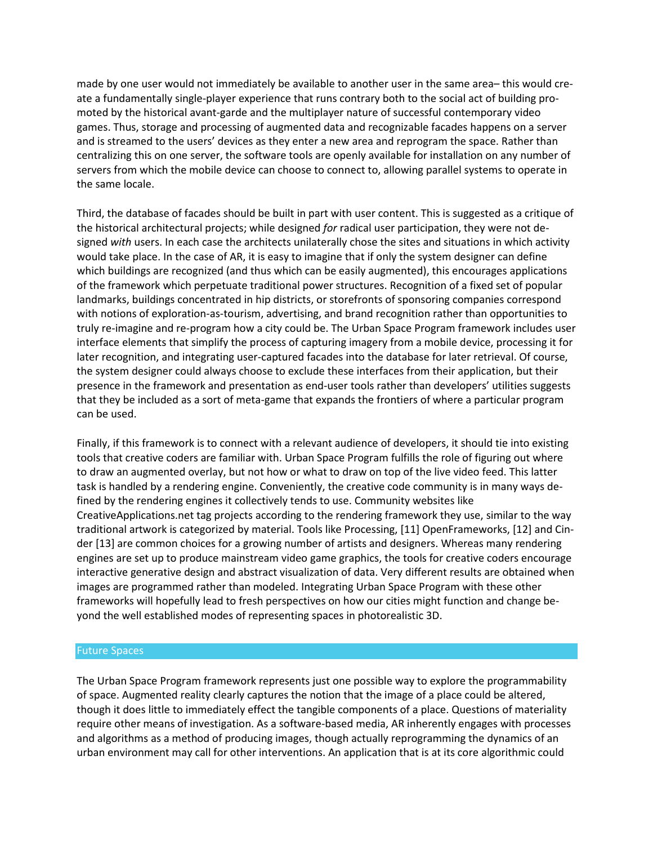made by one user would not immediately be available to another user in the same area– this would create a fundamentally single-player experience that runs contrary both to the social act of building promoted by the historical avant-garde and the multiplayer nature of successful contemporary video games. Thus, storage and processing of augmented data and recognizable facades happens on a server and is streamed to the users' devices as they enter a new area and reprogram the space. Rather than centralizing this on one server, the software tools are openly available for installation on any number of servers from which the mobile device can choose to connect to, allowing parallel systems to operate in the same locale.

Third, the database of facades should be built in part with user content. This is suggested as a critique of the historical architectural projects; while designed *for* radical user participation, they were not designed *with* users. In each case the architects unilaterally chose the sites and situations in which activity would take place. In the case of AR, it is easy to imagine that if only the system designer can define which buildings are recognized (and thus which can be easily augmented), this encourages applications of the framework which perpetuate traditional power structures. Recognition of a fixed set of popular landmarks, buildings concentrated in hip districts, or storefronts of sponsoring companies correspond with notions of exploration-as-tourism, advertising, and brand recognition rather than opportunities to truly re-imagine and re-program how a city could be. The Urban Space Program framework includes user interface elements that simplify the process of capturing imagery from a mobile device, processing it for later recognition, and integrating user-captured facades into the database for later retrieval. Of course, the system designer could always choose to exclude these interfaces from their application, but their presence in the framework and presentation as end-user tools rather than developers' utilities suggests that they be included as a sort of meta-game that expands the frontiers of where a particular program can be used.

Finally, if this framework is to connect with a relevant audience of developers, it should tie into existing tools that creative coders are familiar with. Urban Space Program fulfills the role of figuring out where to draw an augmented overlay, but not how or what to draw on top of the live video feed. This latter task is handled by a rendering engine. Conveniently, the creative code community is in many ways defined by the rendering engines it collectively tends to use. Community websites like CreativeApplications.net tag projects according to the rendering framework they use, similar to the way traditional artwork is categorized by material. Tools like Processing, [11] OpenFrameworks, [12] and Cinder [13] are common choices for a growing number of artists and designers. Whereas many rendering engines are set up to produce mainstream video game graphics, the tools for creative coders encourage interactive generative design and abstract visualization of data. Very different results are obtained when images are programmed rather than modeled. Integrating Urban Space Program with these other frameworks will hopefully lead to fresh perspectives on how our cities might function and change beyond the well established modes of representing spaces in photorealistic 3D.

### Future Spaces

The Urban Space Program framework represents just one possible way to explore the programmability of space. Augmented reality clearly captures the notion that the image of a place could be altered, though it does little to immediately effect the tangible components of a place. Questions of materiality require other means of investigation. As a software-based media, AR inherently engages with processes and algorithms as a method of producing images, though actually reprogramming the dynamics of an urban environment may call for other interventions. An application that is at its core algorithmic could